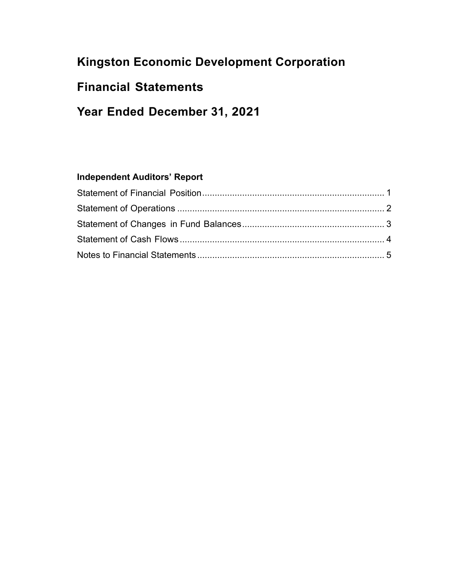# **Kingston Economic Development Corporation**

## **Financial Statements**

# **Year Ended December 31, 2021**

## **Independent Auditors' Report**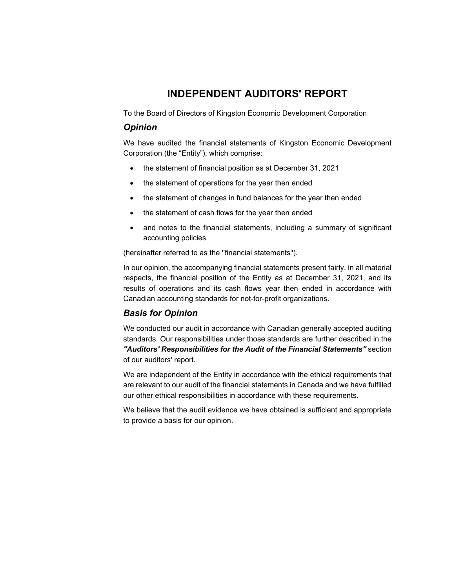### **INDEPENDENT AUDITORS' REPORT**

To the Board of Directors of Kingston Economic Development Corporation

#### *Opinion*

We have audited the financial statements of Kingston Economic Development Corporation (the "Entity"), which comprise:

- the statement of financial position as at December 31, 2021
- the statement of operations for the year then ended
- the statement of changes in fund balances for the year then ended
- the statement of cash flows for the year then ended
- and notes to the financial statements, including a summary of significant accounting policies

(hereinafter referred to as the ''financial statements'').

In our opinion, the accompanying financial statements present fairly, in all material respects, the financial position of the Entity as at December 31, 2021, and its results of operations and its cash flows year then ended in accordance with Canadian accounting standards for not-for-profit organizations.

#### *Basis for Opinion*

We conducted our audit in accordance with Canadian generally accepted auditing standards. Our responsibilities under those standards are further described in the *''Auditors' Responsibilities for the Audit of the Financial Statements''* section of our auditors' report.

We are independent of the Entity in accordance with the ethical requirements that are relevant to our audit of the financial statements in Canada and we have fulfilled our other ethical responsibilities in accordance with these requirements.

We believe that the audit evidence we have obtained is sufficient and appropriate to provide a basis for our opinion.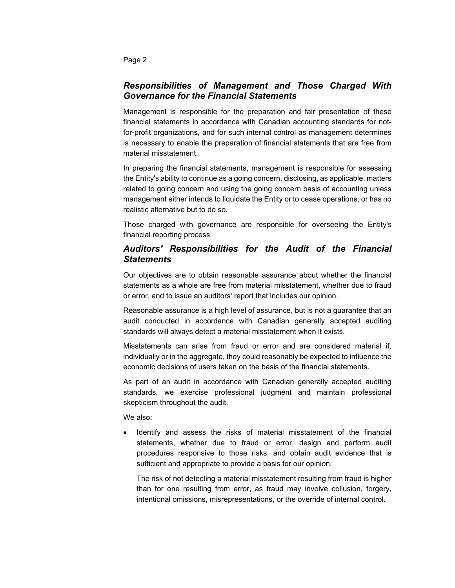Page 2

#### *Responsibilities of Management and Those Charged With Governance for the Financial Statements*

Management is responsible for the preparation and fair presentation of these financial statements in accordance with Canadian accounting standards for notfor-profit organizations, and for such internal control as management determines is necessary to enable the preparation of financial statements that are free from material misstatement.

In preparing the financial statements, management is responsible for assessing the Entity's ability to continue as a going concern, disclosing, as applicable, matters related to going concern and using the going concern basis of accounting unless management either intends to liquidate the Entity or to cease operations, or has no realistic alternative but to do so.

Those charged with governance are responsible for overseeing the Entity's financial reporting process.

#### *Auditors' Responsibilities for the Audit of the Financial Statements*

Our objectives are to obtain reasonable assurance about whether the financial statements as a whole are free from material misstatement, whether due to fraud or error, and to issue an auditors' report that includes our opinion.

Reasonable assurance is a high level of assurance, but is not a guarantee that an audit conducted in accordance with Canadian generally accepted auditing standards will always detect a material misstatement when it exists.

Misstatements can arise from fraud or error and are considered material if, individually or in the aggregate, they could reasonably be expected to influence the economic decisions of users taken on the basis of the financial statements.

As part of an audit in accordance with Canadian generally accepted auditing standards, we exercise professional judgment and maintain professional skepticism throughout the audit.

We also:

 Identify and assess the risks of material misstatement of the financial statements, whether due to fraud or error, design and perform audit procedures responsive to those risks, and obtain audit evidence that is sufficient and appropriate to provide a basis for our opinion.

The risk of not detecting a material misstatement resulting from fraud is higher than for one resulting from error, as fraud may involve collusion, forgery, intentional omissions, misrepresentations, or the override of internal control.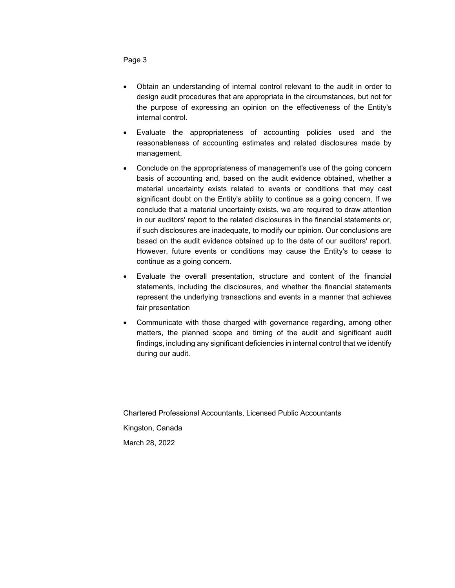Page 3

- Obtain an understanding of internal control relevant to the audit in order to design audit procedures that are appropriate in the circumstances, but not for the purpose of expressing an opinion on the effectiveness of the Entity's internal control.
- Evaluate the appropriateness of accounting policies used and the reasonableness of accounting estimates and related disclosures made by management.
- Conclude on the appropriateness of management's use of the going concern basis of accounting and, based on the audit evidence obtained, whether a material uncertainty exists related to events or conditions that may cast significant doubt on the Entity's ability to continue as a going concern. If we conclude that a material uncertainty exists, we are required to draw attention in our auditors' report to the related disclosures in the financial statements or, if such disclosures are inadequate, to modify our opinion. Our conclusions are based on the audit evidence obtained up to the date of our auditors' report. However, future events or conditions may cause the Entity's to cease to continue as a going concern.
- Evaluate the overall presentation, structure and content of the financial statements, including the disclosures, and whether the financial statements represent the underlying transactions and events in a manner that achieves fair presentation
- Communicate with those charged with governance regarding, among other matters, the planned scope and timing of the audit and significant audit findings, including any significant deficiencies in internal control that we identify during our audit.

Chartered Professional Accountants, Licensed Public Accountants Kingston, Canada March 28, 2022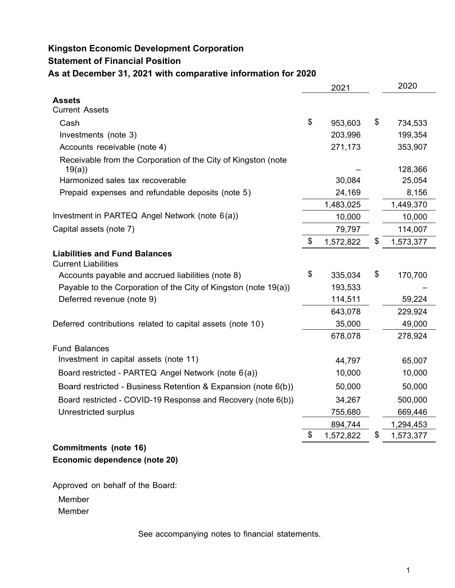### **Kingston Economic Development Corporation**

### **Statement of Financial Position**

**As at December 31, 2021 with comparative information for 2020** 

|                                                                        | 2021 |           |    | 2020      |
|------------------------------------------------------------------------|------|-----------|----|-----------|
| Assets                                                                 |      |           |    |           |
| <b>Current Assets</b>                                                  |      |           |    |           |
| Cash                                                                   | \$   | 953,603   | \$ | 734,533   |
| Investments (note 3)                                                   |      | 203,996   |    | 199,354   |
| Accounts receivable (note 4)                                           |      | 271,173   |    | 353,907   |
| Receivable from the Corporation of the City of Kingston (note<br>19(a) |      |           |    | 128,366   |
| Harmonized sales tax recoverable                                       |      | 30,084    |    | 25,054    |
| Prepaid expenses and refundable deposits (note 5)                      |      | 24,169    |    | 8,156     |
|                                                                        |      | 1,483,025 |    | 1,449,370 |
| Investment in PARTEQ Angel Network (note 6(a))                         |      | 10,000    |    | 10,000    |
| Capital assets (note 7)                                                |      | 79,797    |    | 114,007   |
|                                                                        | \$   | 1,572,822 | \$ | 1,573,377 |
| <b>Liabilities and Fund Balances</b><br><b>Current Liabilities</b>     |      |           |    |           |
| Accounts payable and accrued liabilities (note 8)                      | \$   | 335,034   | \$ | 170,700   |
| Payable to the Corporation of the City of Kingston (note 19(a))        |      | 193,533   |    |           |
| Deferred revenue (note 9)                                              |      | 114,511   |    | 59,224    |
|                                                                        |      | 643,078   |    | 229,924   |
| Deferred contributions related to capital assets (note 10)             |      | 35,000    |    | 49,000    |
|                                                                        |      | 678,078   |    | 278,924   |
| <b>Fund Balances</b>                                                   |      |           |    |           |
| Investment in capital assets (note 11)                                 |      | 44,797    |    | 65,007    |
| Board restricted - PARTEQ Angel Network (note 6(a))                    |      | 10,000    |    | 10,000    |
| Board restricted - Business Retention & Expansion (note 6(b))          |      | 50,000    |    | 50,000    |
| Board restricted - COVID-19 Response and Recovery (note 6(b))          |      | 34,267    |    | 500,000   |
| Unrestricted surplus                                                   |      | 755,680   |    | 669,446   |
|                                                                        |      | 894,744   |    | 1,294,453 |
|                                                                        | \$   | 1,572,822 | \$ | 1,573,377 |
| <b>Commitments (note 16)</b>                                           |      |           |    |           |

# **Economic dependence (note 20)**

Approved on behalf of the Board:

Member

Member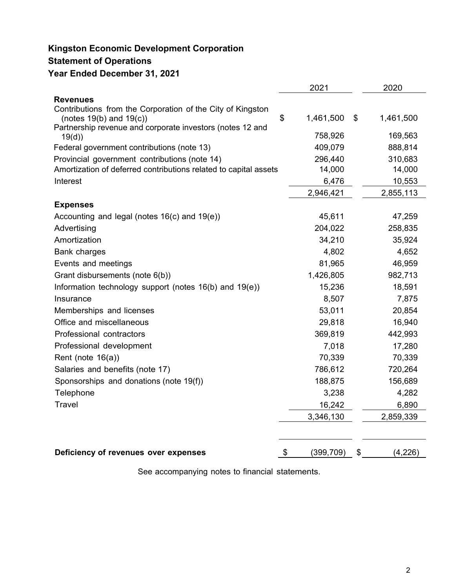# **Kingston Economic Development Corporation**

## **Statement of Operations**

### **Year Ended December 31, 2021**

|                                                                                           | 2021             | 2020            |
|-------------------------------------------------------------------------------------------|------------------|-----------------|
| <b>Revenues</b>                                                                           |                  |                 |
| Contributions from the Corporation of the City of Kingston                                |                  |                 |
| (notes $19(b)$ and $19(c)$ )<br>Partnership revenue and corporate investors (notes 12 and | \$<br>1,461,500  | \$<br>1,461,500 |
| 19(d)                                                                                     | 758,926          | 169,563         |
| Federal government contributions (note 13)                                                | 409,079          | 888,814         |
| Provincial government contributions (note 14)                                             | 296,440          | 310,683         |
| Amortization of deferred contributions related to capital assets                          | 14,000           | 14,000          |
| Interest                                                                                  | 6,476            | 10,553          |
|                                                                                           | 2,946,421        | 2,855,113       |
| <b>Expenses</b>                                                                           |                  |                 |
| Accounting and legal (notes $16(c)$ and $19(e)$ )                                         | 45,611           | 47,259          |
| Advertising                                                                               | 204,022          | 258,835         |
| Amortization                                                                              | 34,210           | 35,924          |
| <b>Bank charges</b>                                                                       | 4,802            | 4,652           |
| Events and meetings                                                                       | 81,965           | 46,959          |
| Grant disbursements (note 6(b))                                                           | 1,426,805        | 982,713         |
| Information technology support (notes 16(b) and 19(e))                                    | 15,236           | 18,591          |
| Insurance                                                                                 | 8,507            | 7,875           |
| Memberships and licenses                                                                  | 53,011           | 20,854          |
| Office and miscellaneous                                                                  | 29,818           | 16,940          |
| Professional contractors                                                                  | 369,819          | 442,993         |
| Professional development                                                                  | 7,018            | 17,280          |
| Rent (note $16(a)$ )                                                                      | 70,339           | 70,339          |
| Salaries and benefits (note 17)                                                           | 786,612          | 720,264         |
| Sponsorships and donations (note 19(f))                                                   | 188,875          | 156,689         |
| Telephone                                                                                 | 3,238            | 4,282           |
| <b>Travel</b>                                                                             | 16,242           | 6,890           |
|                                                                                           | 3,346,130        | 2,859,339       |
|                                                                                           |                  |                 |
| Deficiency of revenues over expenses                                                      | \$<br>(399, 709) | \$<br>(4,226)   |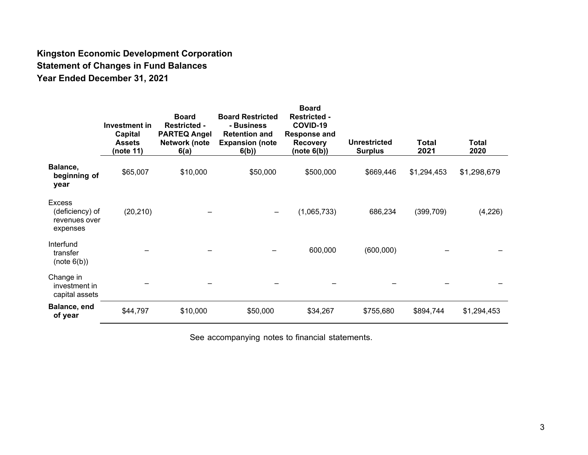## **Kingston Economic Development Corporation Statement of Changes in Fund Balances Year Ended December 31, 2021**

|                                                               | Investment in<br>Capital<br><b>Assets</b><br>(note 11) | <b>Board</b><br><b>Restricted -</b><br><b>PARTEQ Angel</b><br>Network (note<br>6(a) | <b>Board Restricted</b><br>- Business<br><b>Retention and</b><br><b>Expansion (note</b><br>6(b) | <b>Board</b><br><b>Restricted -</b><br>COVID-19<br><b>Response and</b><br><b>Recovery</b><br>(note 6(b)) | <b>Unrestricted</b><br><b>Surplus</b> | Total<br>2021 | Total<br>2020 |
|---------------------------------------------------------------|--------------------------------------------------------|-------------------------------------------------------------------------------------|-------------------------------------------------------------------------------------------------|----------------------------------------------------------------------------------------------------------|---------------------------------------|---------------|---------------|
| Balance,<br>beginning of<br>year                              | \$65,007                                               | \$10,000                                                                            | \$50,000                                                                                        | \$500,000                                                                                                | \$669,446                             | \$1,294,453   | \$1,298,679   |
| <b>Excess</b><br>(deficiency) of<br>revenues over<br>expenses | (20, 210)                                              |                                                                                     |                                                                                                 | (1,065,733)                                                                                              | 686,234                               | (399,709)     | (4,226)       |
| Interfund<br>transfer<br>(note 6(b))                          |                                                        |                                                                                     |                                                                                                 | 600,000                                                                                                  | (600,000)                             |               |               |
| Change in<br>investment in<br>capital assets                  |                                                        |                                                                                     |                                                                                                 |                                                                                                          |                                       |               |               |
| Balance, end<br>of year                                       | \$44,797                                               | \$10,000                                                                            | \$50,000                                                                                        | \$34,267                                                                                                 | \$755,680                             | \$894,744     | \$1,294,453   |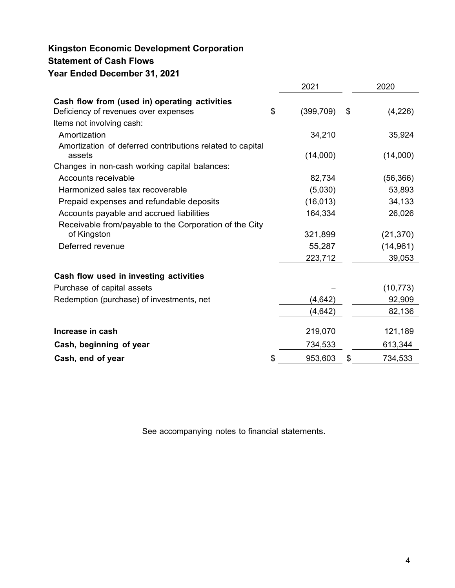## **Kingston Economic Development Corporation Statement of Cash Flows Year Ended December 31, 2021**

|                                                                     | 2021             | 2020          |
|---------------------------------------------------------------------|------------------|---------------|
| Cash flow from (used in) operating activities                       |                  |               |
| Deficiency of revenues over expenses                                | \$<br>(399, 709) | \$<br>(4,226) |
| Items not involving cash:                                           |                  |               |
| Amortization                                                        | 34,210           | 35,924        |
| Amortization of deferred contributions related to capital<br>assets | (14,000)         | (14,000)      |
| Changes in non-cash working capital balances:                       |                  |               |
| Accounts receivable                                                 | 82,734           | (56, 366)     |
| Harmonized sales tax recoverable                                    | (5,030)          | 53,893        |
| Prepaid expenses and refundable deposits                            | (16, 013)        | 34,133        |
| Accounts payable and accrued liabilities                            | 164,334          | 26,026        |
| Receivable from/payable to the Corporation of the City              |                  |               |
| of Kingston                                                         | 321,899          | (21, 370)     |
| Deferred revenue                                                    | 55,287           | (14, 961)     |
|                                                                     | 223,712          | 39,053        |
| Cash flow used in investing activities                              |                  |               |
| Purchase of capital assets                                          |                  | (10, 773)     |
| Redemption (purchase) of investments, net                           | (4, 642)         | 92,909        |
|                                                                     | (4,642)          | 82,136        |
| Increase in cash                                                    | 219,070          | 121,189       |
| Cash, beginning of year                                             | 734,533          | 613,344       |
| Cash, end of year                                                   | \$<br>953,603    | \$<br>734,533 |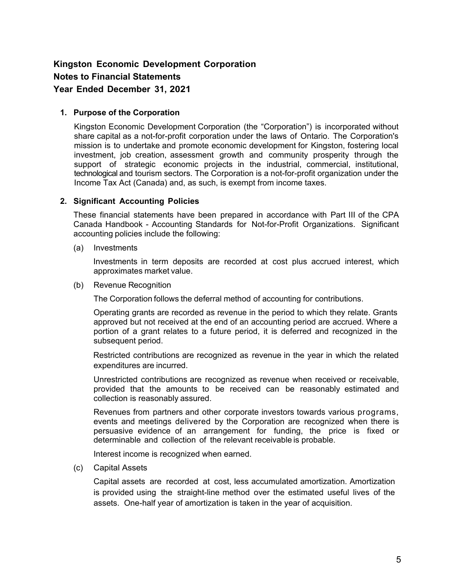#### **1. Purpose of the Corporation**

Kingston Economic Development Corporation (the "Corporation") is incorporated without share capital as a not-for-profit corporation under the laws of Ontario. The Corporation's mission is to undertake and promote economic development for Kingston, fostering local investment, job creation, assessment growth and community prosperity through the support of strategic economic projects in the industrial, commercial, institutional, technological and tourism sectors. The Corporation is a not-for-profit organization under the Income Tax Act (Canada) and, as such, is exempt from income taxes.

#### **2. Significant Accounting Policies**

These financial statements have been prepared in accordance with Part III of the CPA Canada Handbook - Accounting Standards for Not-for-Profit Organizations. Significant accounting policies include the following:

(a) Investments

Investments in term deposits are recorded at cost plus accrued interest, which approximates market value.

(b) Revenue Recognition

The Corporation follows the deferral method of accounting for contributions.

Operating grants are recorded as revenue in the period to which they relate. Grants approved but not received at the end of an accounting period are accrued. Where a portion of a grant relates to a future period, it is deferred and recognized in the subsequent period.

Restricted contributions are recognized as revenue in the year in which the related expenditures are incurred.

Unrestricted contributions are recognized as revenue when received or receivable, provided that the amounts to be received can be reasonably estimated and collection is reasonably assured.

Revenues from partners and other corporate investors towards various programs, events and meetings delivered by the Corporation are recognized when there is persuasive evidence of an arrangement for funding, the price is fixed or determinable and collection of the relevant receivable is probable.

Interest income is recognized when earned.

(c) Capital Assets

Capital assets are recorded at cost, less accumulated amortization. Amortization is provided using the straight-line method over the estimated useful lives of the assets. One-half year of amortization is taken in the year of acquisition.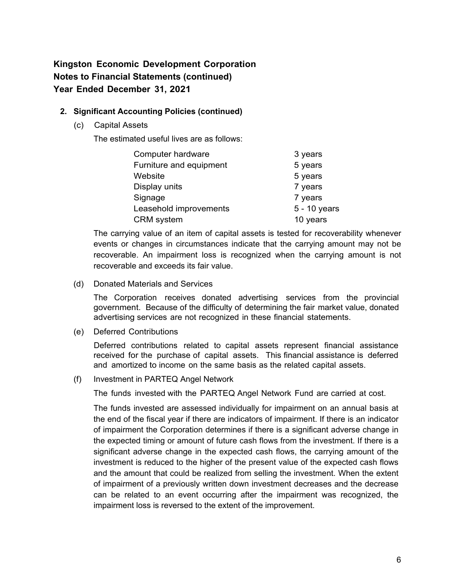#### **2. Significant Accounting Policies (continued)**

(c) Capital Assets

The estimated useful lives are as follows:

| Computer hardware       | 3 years      |
|-------------------------|--------------|
| Furniture and equipment | 5 years      |
| Website                 | 5 years      |
| Display units           | 7 years      |
| Signage                 | 7 years      |
| Leasehold improvements  | 5 - 10 years |
| <b>CRM</b> system       | 10 years     |

The carrying value of an item of capital assets is tested for recoverability whenever events or changes in circumstances indicate that the carrying amount may not be recoverable. An impairment loss is recognized when the carrying amount is not recoverable and exceeds its fair value.

(d) Donated Materials and Services

The Corporation receives donated advertising services from the provincial government. Because of the difficulty of determining the fair market value, donated advertising services are not recognized in these financial statements.

(e) Deferred Contributions

Deferred contributions related to capital assets represent financial assistance received for the purchase of capital assets. This financial assistance is deferred and amortized to income on the same basis as the related capital assets.

(f) Investment in PARTEQ Angel Network

The funds invested with the PARTEQ Angel Network Fund are carried at cost.

The funds invested are assessed individually for impairment on an annual basis at the end of the fiscal year if there are indicators of impairment. If there is an indicator of impairment the Corporation determines if there is a significant adverse change in the expected timing or amount of future cash flows from the investment. If there is a significant adverse change in the expected cash flows, the carrying amount of the investment is reduced to the higher of the present value of the expected cash flows and the amount that could be realized from selling the investment. When the extent of impairment of a previously written down investment decreases and the decrease can be related to an event occurring after the impairment was recognized, the impairment loss is reversed to the extent of the improvement.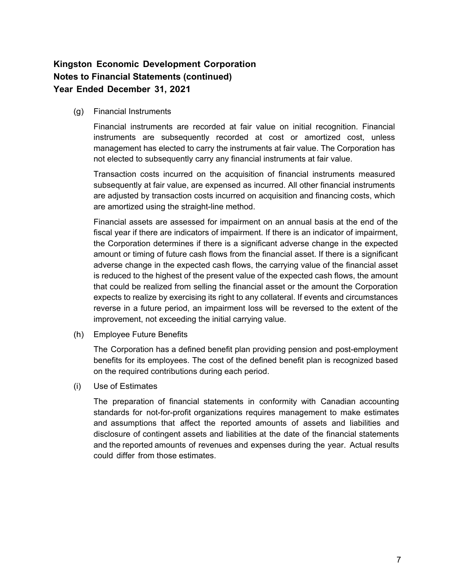(g) Financial Instruments

Financial instruments are recorded at fair value on initial recognition. Financial instruments are subsequently recorded at cost or amortized cost, unless management has elected to carry the instruments at fair value. The Corporation has not elected to subsequently carry any financial instruments at fair value.

Transaction costs incurred on the acquisition of financial instruments measured subsequently at fair value, are expensed as incurred. All other financial instruments are adjusted by transaction costs incurred on acquisition and financing costs, which are amortized using the straight-line method.

Financial assets are assessed for impairment on an annual basis at the end of the fiscal year if there are indicators of impairment. If there is an indicator of impairment, the Corporation determines if there is a significant adverse change in the expected amount or timing of future cash flows from the financial asset. If there is a significant adverse change in the expected cash flows, the carrying value of the financial asset is reduced to the highest of the present value of the expected cash flows, the amount that could be realized from selling the financial asset or the amount the Corporation expects to realize by exercising its right to any collateral. If events and circumstances reverse in a future period, an impairment loss will be reversed to the extent of the improvement, not exceeding the initial carrying value.

(h) Employee Future Benefits

The Corporation has a defined benefit plan providing pension and post-employment benefits for its employees. The cost of the defined benefit plan is recognized based on the required contributions during each period.

(i) Use of Estimates

The preparation of financial statements in conformity with Canadian accounting standards for not-for-profit organizations requires management to make estimates and assumptions that affect the reported amounts of assets and liabilities and disclosure of contingent assets and liabilities at the date of the financial statements and the reported amounts of revenues and expenses during the year. Actual results could differ from those estimates.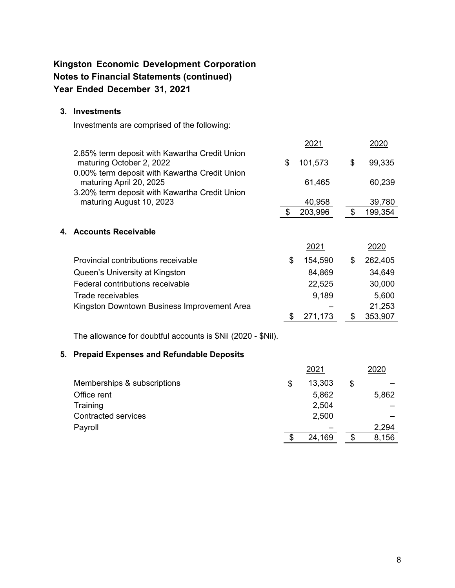#### **3. Investments**

Investments are comprised of the following:

|                                                                                                                            | 2021          |    | 2020    |
|----------------------------------------------------------------------------------------------------------------------------|---------------|----|---------|
| 2.85% term deposit with Kawartha Credit Union<br>maturing October 2, 2022<br>0.00% term deposit with Kawartha Credit Union | \$<br>101,573 | \$ | 99,335  |
| maturing April 20, 2025                                                                                                    | 61,465        |    | 60,239  |
| 3.20% term deposit with Kawartha Credit Union                                                                              |               |    |         |
| maturing August 10, 2023                                                                                                   | 40,958        |    | 39,780  |
|                                                                                                                            | 203,996       | \$ | 199,354 |
| 4. Accounts Receivable                                                                                                     |               |    |         |
|                                                                                                                            | 2021          |    | 2020    |
| Provincial contributions receivable                                                                                        | \$<br>154,590 | \$ | 262,405 |
| Queen's University at Kingston                                                                                             | 84,869        |    | 34,649  |
| Federal contributions receivable                                                                                           | 22,525        |    | 30,000  |
| Trade receivables                                                                                                          | 9,189         |    | 5,600   |
| Kingston Downtown Business Improvement Area                                                                                |               |    | 21,253  |
|                                                                                                                            | 271,173       | \$ | 353,907 |

The allowance for doubtful accounts is \$Nil (2020 - \$Nil).

#### **5. Prepaid Expenses and Refundable Deposits**

|                             |    | 2020   |       |
|-----------------------------|----|--------|-------|
| Memberships & subscriptions | \$ | 13,303 | \$    |
| Office rent                 |    | 5,862  | 5,862 |
| Training                    |    | 2,504  |       |
| <b>Contracted services</b>  |    | 2,500  |       |
| Payroll                     |    |        | 2,294 |
|                             | S  | 24,169 | 8,156 |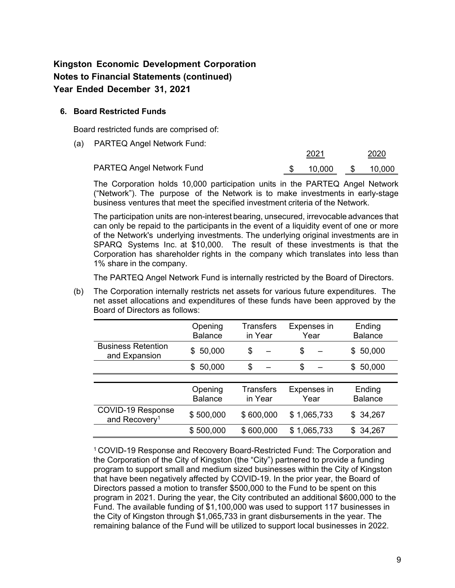#### **6. Board Restricted Funds**

Board restricted funds are comprised of:

(a) PARTEQ Angel Network Fund:

|                                  |  |        | 2020 |        |  |
|----------------------------------|--|--------|------|--------|--|
| <b>PARTEQ Angel Network Fund</b> |  | 10.000 | - SS | 10.000 |  |

The Corporation holds 10,000 participation units in the PARTEQ Angel Network ("Network"). The purpose of the Network is to make investments in early-stage business ventures that meet the specified investment criteria of the Network.

The participation units are non-interest bearing, unsecured, irrevocable advances that can only be repaid to the participants in the event of a liquidity event of one or more of the Network's underlying investments. The underlying original investments are in SPARQ Systems Inc. at \$10,000. The result of these investments is that the Corporation has shareholder rights in the company which translates into less than 1% share in the company.

The PARTEQ Angel Network Fund is internally restricted by the Board of Directors.

(b) The Corporation internally restricts net assets for various future expenditures. The net asset allocations and expenditures of these funds have been approved by the Board of Directors as follows:

|                                                | Opening<br><b>Balance</b> | <b>Transfers</b><br>in Year | Expenses in<br>Year | Ending<br><b>Balance</b> |
|------------------------------------------------|---------------------------|-----------------------------|---------------------|--------------------------|
| <b>Business Retention</b><br>and Expansion     | 50,000<br>SS.             | \$                          | \$                  | 50,000<br>S.             |
|                                                | 50,000<br>\$              | \$                          | \$                  | 50,000<br>\$.            |
|                                                |                           |                             |                     |                          |
|                                                | Opening<br><b>Balance</b> | <b>Transfers</b><br>in Year | Expenses in<br>Year | Ending<br><b>Balance</b> |
| COVID-19 Response<br>and Recovery <sup>1</sup> | \$500,000                 | \$600,000                   | \$1,065,733         | \$34,267                 |
|                                                | \$500,000                 | \$600,000                   | \$1,065,733         | 34,267<br>\$             |

1 COVID-19 Response and Recovery Board-Restricted Fund: The Corporation and the Corporation of the City of Kingston (the "City") partnered to provide a funding program to support small and medium sized businesses within the City of Kingston that have been negatively affected by COVID-19. In the prior year, the Board of Directors passed a motion to transfer \$500,000 to the Fund to be spent on this program in 2021. During the year, the City contributed an additional \$600,000 to the Fund. The available funding of \$1,100,000 was used to support 117 businesses in the City of Kingston through \$1,065,733 in grant disbursements in the year. The remaining balance of the Fund will be utilized to support local businesses in 2022.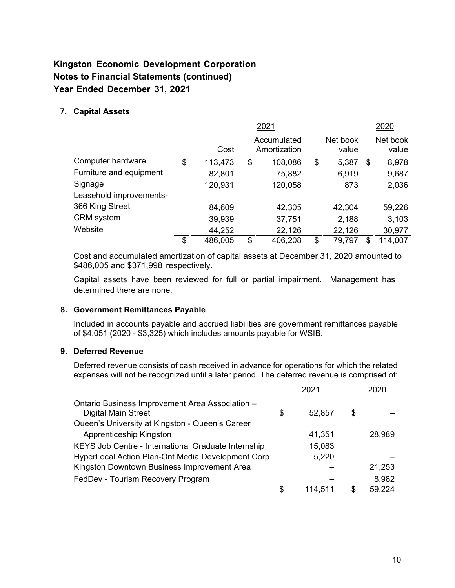#### **7. Capital Assets**

|                         |               | 2021                        |                   | 2020              |
|-------------------------|---------------|-----------------------------|-------------------|-------------------|
|                         | Cost          | Accumulated<br>Amortization | Net book<br>value | Net book<br>value |
| Computer hardware       | \$<br>113,473 | \$<br>108,086               | \$<br>5,387       | \$<br>8,978       |
| Furniture and equipment | 82,801        | 75,882                      | 6,919             | 9,687             |
| Signage                 | 120,931       | 120,058                     | 873               | 2,036             |
| Leasehold improvements- |               |                             |                   |                   |
| 366 King Street         | 84,609        | 42,305                      | 42,304            | 59,226            |
| <b>CRM</b> system       | 39,939        | 37,751                      | 2,188             | 3,103             |
| Website                 | 44,252        | 22,126                      | 22,126            | 30,977            |
|                         | \$<br>486,005 | \$<br>406,208               | \$<br>79,797      | 114,007           |

Cost and accumulated amortization of capital assets at December 31, 2020 amounted to \$486,005 and \$371,998 respectively.

Capital assets have been reviewed for full or partial impairment. Management has determined there are none.

#### **8. Government Remittances Payable**

Included in accounts payable and accrued liabilities are government remittances payable of \$4,051 (2020 - \$3,325) which includes amounts payable for WSIB.

#### **9. Deferred Revenue**

Deferred revenue consists of cash received in advance for operations for which the related expenses will not be recognized until a later period. The deferred revenue is comprised of:

|                                                                               | 2021          |    |        |
|-------------------------------------------------------------------------------|---------------|----|--------|
| Ontario Business Improvement Area Association -<br><b>Digital Main Street</b> | \$<br>52,857  | \$ |        |
| Queen's University at Kingston - Queen's Career                               |               |    |        |
| Apprenticeship Kingston                                                       | 41,351        |    | 28,989 |
| KEYS Job Centre - International Graduate Internship                           | 15,083        |    |        |
| HyperLocal Action Plan-Ont Media Development Corp                             | 5,220         |    |        |
| Kingston Downtown Business Improvement Area                                   |               |    | 21,253 |
| FedDev - Tourism Recovery Program                                             |               |    | 8,982  |
|                                                                               | \$<br>114,511 | S  | 59,224 |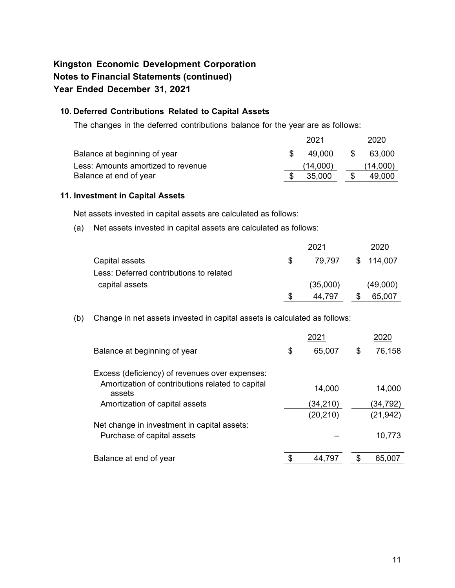#### **10. Deferred Contributions Related to Capital Assets**

The changes in the deferred contributions balance for the year are as follows:

|                                    | 2021     | 2020     |
|------------------------------------|----------|----------|
| Balance at beginning of year       | 49.000   | 63.000   |
| Less: Amounts amortized to revenue | (14.000) | (14,000) |
| Balance at end of year             | 35,000   | 49.000   |

#### **11. Investment in Capital Assets**

Net assets invested in capital assets are calculated as follows:

(a) Net assets invested in capital assets are calculated as follows:

|                                         |     | 2021     | 2020      |
|-----------------------------------------|-----|----------|-----------|
| Capital assets                          | \$. | 79.797   | \$114,007 |
| Less: Deferred contributions to related |     |          |           |
| capital assets                          |     | (35,000) | (49,000)  |
|                                         |     | 44.797   | 65,007    |

(b) Change in net assets invested in capital assets is calculated as follows:

| 2021 |           |    |           |  |  |
|------|-----------|----|-----------|--|--|
| \$   | 65,007    | \$ | 76,158    |  |  |
|      |           |    |           |  |  |
|      | 14,000    |    | 14,000    |  |  |
|      | (34,210)  |    | (34,792)  |  |  |
|      | (20, 210) |    | (21, 942) |  |  |
|      |           |    |           |  |  |
|      |           |    | 10,773    |  |  |
|      | 44,797    |    | 65,007    |  |  |
|      |           |    |           |  |  |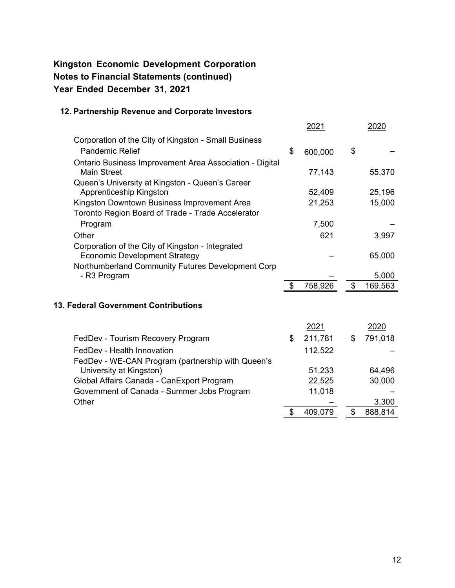#### **12. Partnership Revenue and Corporate Investors**

|                                                                                                  | <u> 2021</u>  | <u> 2020</u>  |
|--------------------------------------------------------------------------------------------------|---------------|---------------|
| Corporation of the City of Kingston - Small Business                                             |               |               |
| <b>Pandemic Relief</b>                                                                           | \$<br>600,000 | \$            |
| <b>Ontario Business Improvement Area Association - Digital</b><br><b>Main Street</b>             | 77,143        | 55,370        |
| Queen's University at Kingston - Queen's Career<br>Apprenticeship Kingston                       | 52,409        | 25,196        |
| Kingston Downtown Business Improvement Area<br>Toronto Region Board of Trade - Trade Accelerator | 21,253        | 15,000        |
| Program                                                                                          | 7,500         |               |
| Other                                                                                            | 621           | 3,997         |
| Corporation of the City of Kingston - Integrated<br><b>Economic Development Strategy</b>         |               | 65,000        |
| Northumberland Community Futures Development Corp<br>- R3 Program                                |               | 5,000         |
|                                                                                                  | 758,926       | \$<br>169,563 |
| <b>13. Federal Government Contributions</b>                                                      |               |               |
|                                                                                                  | 2021          | 2020          |
| FedDev - Tourism Recovery Program                                                                | \$<br>211,781 | \$<br>791,018 |
| FedDev - Health Innovation                                                                       | 112,522       |               |
| FedDev - WE-CAN Program (partnership with Queen's                                                |               |               |
| University at Kingston)                                                                          | 51,233        | 64,496        |
| Global Affairs Canada - CanExport Program                                                        | 22,525        | 30,000        |
| Government of Canada - Summer Jobs Program                                                       | 11,018        |               |

Other – 3,300

 $\overline{\$}$  409,079  $\overline{\$}$  888,814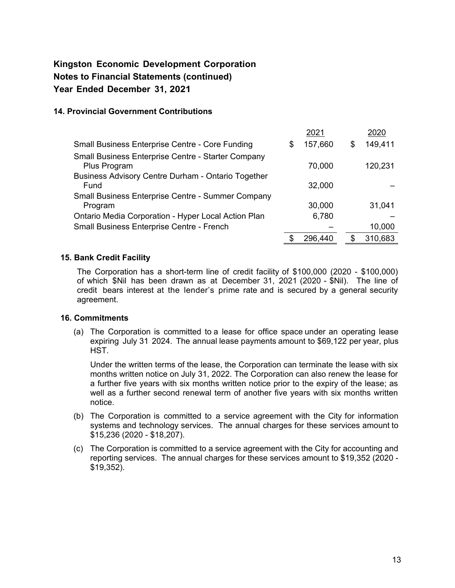#### **14. Provincial Government Contributions**

|                                                                     |   | 2021    |    | 2020    |
|---------------------------------------------------------------------|---|---------|----|---------|
| <b>Small Business Enterprise Centre - Core Funding</b>              | S | 157,660 | \$ | 149,411 |
| Small Business Enterprise Centre - Starter Company<br>Plus Program  |   | 70,000  |    | 120,231 |
| <b>Business Advisory Centre Durham - Ontario Together</b><br>Fund   |   | 32,000  |    |         |
| <b>Small Business Enterprise Centre - Summer Company</b><br>Program |   | 30,000  |    | 31,041  |
| Ontario Media Corporation - Hyper Local Action Plan                 |   | 6,780   |    |         |
| Small Business Enterprise Centre - French                           |   |         |    | 10,000  |
|                                                                     |   | 296.440 | S  | 310,683 |

#### **15. Bank Credit Facility**

The Corporation has a short-term line of credit facility of \$100,000 (2020 - \$100,000) of which \$Nil has been drawn as at December 31, 2021 (2020 - \$Nil). The line of credit bears interest at the lender's prime rate and is secured by a general security agreement.

#### **16. Commitments**

(a) The Corporation is committed to a lease for office space under an operating lease expiring July 31 2024. The annual lease payments amount to \$69,122 per year, plus HST.

Under the written terms of the lease, the Corporation can terminate the lease with six months written notice on July 31, 2022. The Corporation can also renew the lease for a further five years with six months written notice prior to the expiry of the lease; as well as a further second renewal term of another five years with six months written notice.

- (b) The Corporation is committed to a service agreement with the City for information systems and technology services. The annual charges for these services amount to \$15,236 (2020 - \$18,207).
- (c) The Corporation is committed to a service agreement with the City for accounting and reporting services. The annual charges for these services amount to \$19,352 (2020 - \$19,352).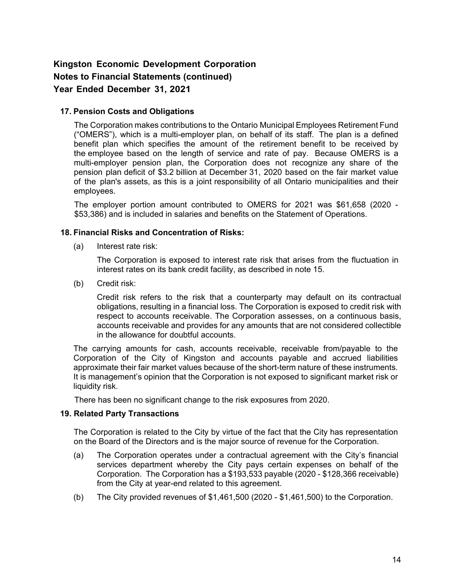#### **17. Pension Costs and Obligations**

The Corporation makes contributions to the Ontario Municipal Employees Retirement Fund ("OMERS"), which is a multi-employer plan, on behalf of its staff. The plan is a defined benefit plan which specifies the amount of the retirement benefit to be received by the employee based on the length of service and rate of pay. Because OMERS is a multi-employer pension plan, the Corporation does not recognize any share of the pension plan deficit of \$3.2 billion at December 31, 2020 based on the fair market value of the plan's assets, as this is a joint responsibility of all Ontario municipalities and their employees.

The employer portion amount contributed to OMERS for 2021 was \$61,658 (2020 - \$53,386) and is included in salaries and benefits on the Statement of Operations.

#### **18. Financial Risks and Concentration of Risks:**

(a) Interest rate risk:

The Corporation is exposed to interest rate risk that arises from the fluctuation in interest rates on its bank credit facility, as described in note 15.

(b) Credit risk:

Credit risk refers to the risk that a counterparty may default on its contractual obligations, resulting in a financial loss. The Corporation is exposed to credit risk with respect to accounts receivable. The Corporation assesses, on a continuous basis, accounts receivable and provides for any amounts that are not considered collectible in the allowance for doubtful accounts.

The carrying amounts for cash, accounts receivable, receivable from/payable to the Corporation of the City of Kingston and accounts payable and accrued liabilities approximate their fair market values because of the short-term nature of these instruments. It is management's opinion that the Corporation is not exposed to significant market risk or liquidity risk.

There has been no significant change to the risk exposures from 2020.

#### **19. Related Party Transactions**

The Corporation is related to the City by virtue of the fact that the City has representation on the Board of the Directors and is the major source of revenue for the Corporation.

- (a) The Corporation operates under a contractual agreement with the City's financial services department whereby the City pays certain expenses on behalf of the Corporation. The Corporation has a \$193,533 payable (2020 - \$128,366 receivable) from the City at year-end related to this agreement.
- (b) The City provided revenues of \$1,461,500 (2020 \$1,461,500) to the Corporation.